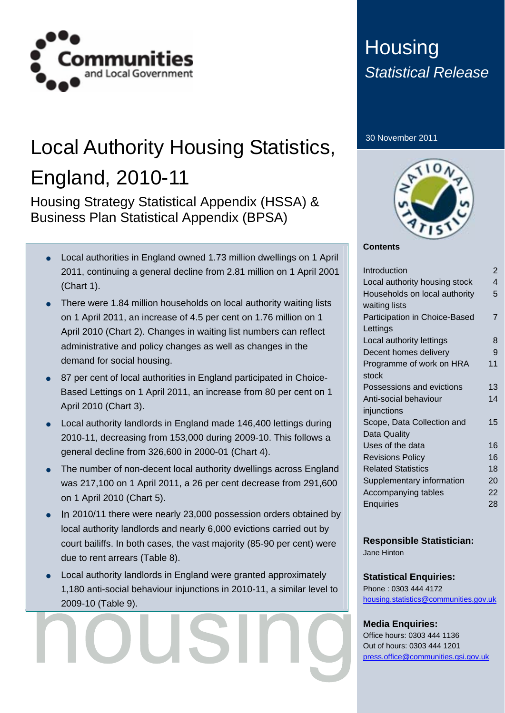

# Local Authority Housing Statistics, England, 2010-11

Housing Strategy Statistical Appendix (HSSA) & Business Plan Statistical Appendix (BPSA)

- Local authorities in England owned 1.73 million dwellings on 1 April 2011, continuing a general decline from 2.81 million on 1 April 2001 (Chart 1).
- There were 1.84 million households on local authority waiting lists on 1 April 2011, an increase of 4.5 per cent on 1.76 million on 1 April 2010 (Chart 2). Changes in waiting list numbers can reflect administrative and policy changes as well as changes in the demand for social housing.
- 87 per cent of local authorities in England participated in Choice-Based Lettings on 1 April 2011, an increase from 80 per cent on 1 April 2010 (Chart 3).
- Local authority landlords in England made 146,400 lettings during 2010-11, decreasing from 153,000 during 2009-10. This follows a general decline from 326,600 in 2000-01 (Chart 4).
- The number of non-decent local authority dwellings across England was 217,100 on 1 April 2011, a 26 per cent decrease from 291,600 on 1 April 2010 (Chart 5).
- In 2010/11 there were nearly 23,000 possession orders obtained by local authority landlords and nearly 6,000 evictions carried out by court bailiffs. In both cases, the vast majority (85-90 per cent) were due to rent arrears (Table 8).
- Local authority landlords in England were granted approximately 1,180 anti-social behaviour injunctions in 2010-11, a similar level to 2009-10 (Table 9).

## **Housing** *Statistical Release*

#### 30 November 2011



#### **Contents**

| Introduction                  | $\mathcal{P}$ |
|-------------------------------|---------------|
| Local authority housing stock | 4             |
| Households on local authority | 5             |
| waiting lists                 |               |
| Participation in Choice-Based | 7             |
| Lettings                      |               |
| Local authority lettings      | 8             |
| Decent homes delivery         | 9             |
| Programme of work on HRA      | 11            |
| stock                         |               |
| Possessions and evictions     | 13            |
| Anti-social behaviour         | 14            |
| injunctions                   |               |
| Scope, Data Collection and    | 15            |
| Data Quality                  |               |
| Uses of the data              | 16            |
| <b>Revisions Policy</b>       | 16            |
| <b>Related Statistics</b>     | 18            |
| Supplementary information     | 20            |
| Accompanying tables           | 22            |
| <b>Enquiries</b>              | 28            |
|                               |               |

#### **Responsible Statistician:**

Jane Hinton

#### **Statistical Enquiries:**

Phone : 0303 444 4172 [housing.statistics@communities.gov.uk](http://www.communities.gov.uk/housingstatistics)

### **Media Enquiries:**

Office hours: 0303 444 1136 Out of hours: 0303 444 1201 [press.office@communities.gsi.gov.uk](mailto:press.office@communities.gsi.gov.uk)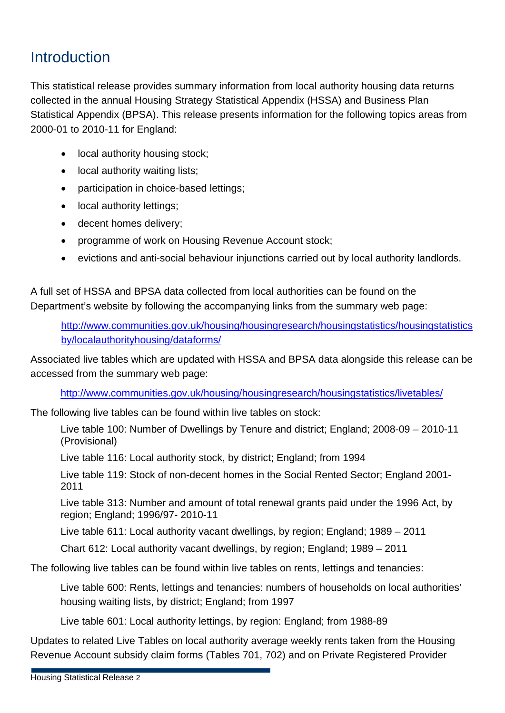### **Introduction**

This statistical release provides summary information from local authority housing data returns collected in the annual Housing Strategy Statistical Appendix (HSSA) and Business Plan Statistical Appendix (BPSA). This release presents information for the following topics areas from 2000-01 to 2010-11 for England:

- local authority housing stock;
- local authority waiting lists;
- participation in choice-based lettings;
- local authority lettings;
- decent homes delivery;
- programme of work on Housing Revenue Account stock;
- evictions and anti-social behaviour injunctions carried out by local authority landlords.

A full set of HSSA and BPSA data collected from local authorities can be found on the Department's website by following the accompanying links from the summary web page:

[http://www.communities.gov.uk/housing/housingresearch/housingstatistics/housingstatistics](http://www.communities.gov.uk/housing/housingresearch/housingstatistics/housingstatisticsby/localauthorityhousing/dataforms/) [by/localauthorityhousing/dataforms/](http://www.communities.gov.uk/housing/housingresearch/housingstatistics/housingstatisticsby/localauthorityhousing/dataforms/) 

Associated live tables which are updated with HSSA and BPSA data alongside this release can be accessed from the summary web page:

<http://www.communities.gov.uk/housing/housingresearch/housingstatistics/livetables/>

The following live tables can be found within live tables on stock:

Live table 100: Number of Dwellings by Tenure and district; England; 2008-09 – 2010-11 (Provisional)

Live table 116: Local authority stock, by district; England; from 1994

Live table 119: Stock of non-decent homes in the Social Rented Sector; England 2001- 2011

Live table 313: Number and amount of total renewal grants paid under the 1996 Act, by region; England; 1996/97- 2010-11

Live table 611: Local authority vacant dwellings, by region; England; 1989 – 2011

Chart 612: Local authority vacant dwellings, by region; England; 1989 – 2011

The following live tables can be found within live tables on rents, lettings and tenancies:

Live table 600: Rents, lettings and tenancies: numbers of households on local authorities' housing waiting lists, by district; England; from 1997

Live table 601: Local authority lettings, by region: England; from 1988-89

Updates to related Live Tables on local authority average weekly rents taken from the Housing Revenue Account subsidy claim forms (Tables 701, 702) and on Private Registered Provider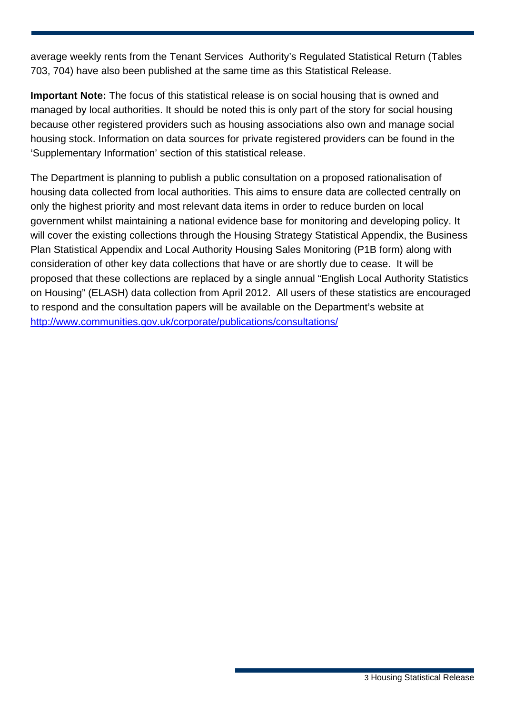average weekly rents from the Tenant Services Authority's Regulated Statistical Return (Tables 703, 704) have also been published at the same time as this Statistical Release.

**Important Note:** The focus of this statistical release is on social housing that is owned and managed by local authorities. It should be noted this is only part of the story for social housing because other registered providers such as housing associations also own and manage social housing stock. Information on data sources for private registered providers can be found in the 'Supplementary Information' section of this statistical release.

The Department is planning to publish a public consultation on a proposed rationalisation of housing data collected from local authorities. This aims to ensure data are collected centrally on only the highest priority and most relevant data items in order to reduce burden on local government whilst maintaining a national evidence base for monitoring and developing policy. It will cover the existing collections through the Housing Strategy Statistical Appendix, the Business Plan Statistical Appendix and Local Authority Housing Sales Monitoring (P1B form) along with consideration of other key data collections that have or are shortly due to cease. It will be proposed that these collections are replaced by a single annual "English Local Authority Statistics on Housing" (ELASH) data collection from April 2012. All users of these statistics are encouraged to respond and the consultation papers will be available on the Department's website at <http://www.communities.gov.uk/corporate/publications/consultations/>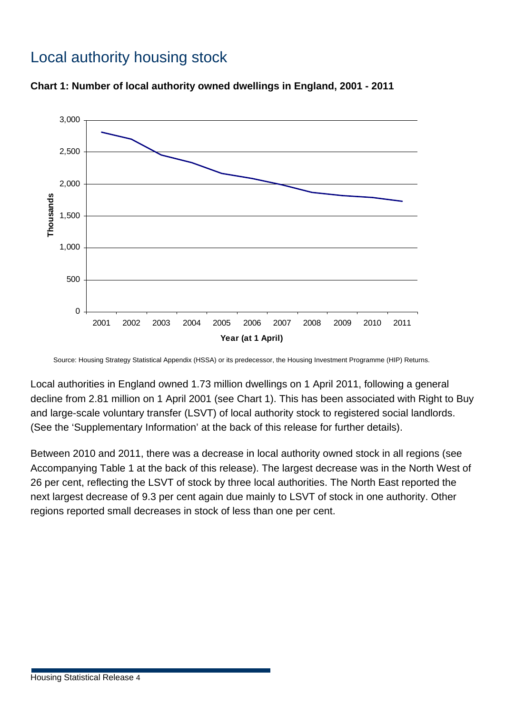### Local authority housing stock





Source: Housing Strategy Statistical Appendix (HSSA) or its predecessor, the Housing Investment Programme (HIP) Returns.

Local authorities in England owned 1.73 million dwellings on 1 April 2011, following a general decline from 2.81 million on 1 April 2001 (see Chart 1). This has been associated with Right to Buy and large-scale voluntary transfer (LSVT) of local authority stock to registered social landlords. (See the 'Supplementary Information' at the back of this release for further details).

Between 2010 and 2011, there was a decrease in local authority owned stock in all regions (see Accompanying Table 1 at the back of this release). The largest decrease was in the North West of 26 per cent, reflecting the LSVT of stock by three local authorities. The North East reported the next largest decrease of 9.3 per cent again due mainly to LSVT of stock in one authority. Other regions reported small decreases in stock of less than one per cent.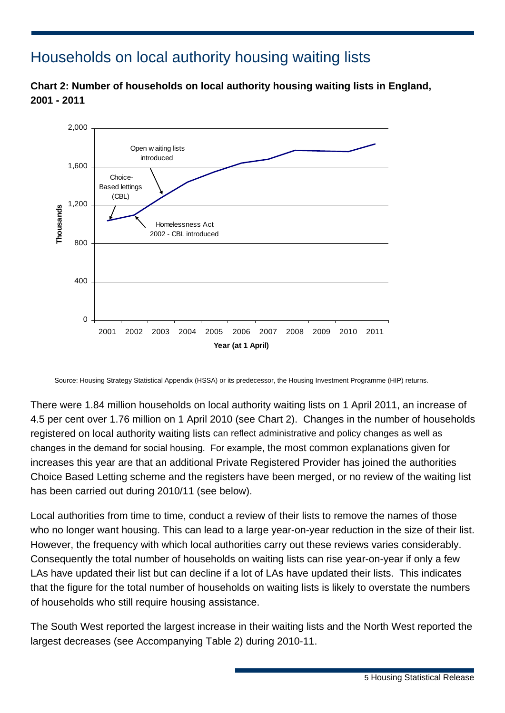### Households on local authority housing waiting lists

**Chart 2: Number of households on local authority housing waiting lists in England, 2001 - 2011** 



Source: Housing Strategy Statistical Appendix (HSSA) or its predecessor, the Housing Investment Programme (HIP) returns.

There were 1.84 million households on local authority waiting lists on 1 April 2011, an increase of 4.5 per cent over 1.76 million on 1 April 2010 (see Chart 2). Changes in the number of households registered on local authority waiting lists can reflect administrative and policy changes as well as changes in the demand for social housing. For example, the most common explanations given for increases this year are that an additional Private Registered Provider has joined the authorities Choice Based Letting scheme and the registers have been merged, or no review of the waiting list has been carried out during 2010/11 (see below).

Local authorities from time to time, conduct a review of their lists to remove the names of those who no longer want housing. This can lead to a large year-on-year reduction in the size of their list. However, the frequency with which local authorities carry out these reviews varies considerably. Consequently the total number of households on waiting lists can rise year-on-year if only a few LAs have updated their list but can decline if a lot of LAs have updated their lists. This indicates that the figure for the total number of households on waiting lists is likely to overstate the numbers of households who still require housing assistance.

The South West reported the largest increase in their waiting lists and the North West reported the largest decreases (see Accompanying Table 2) during 2010-11.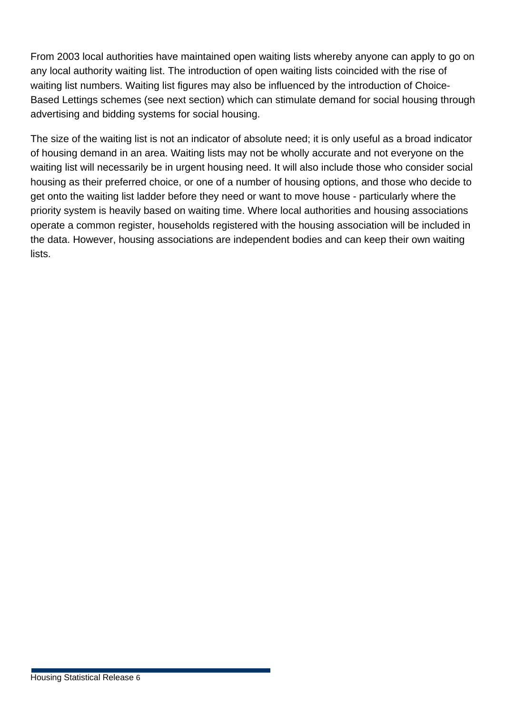From 2003 local authorities have maintained open waiting lists whereby anyone can apply to go on any local authority waiting list. The introduction of open waiting lists coincided with the rise of waiting list numbers. Waiting list figures may also be influenced by the introduction of Choice-Based Lettings schemes (see next section) which can stimulate demand for social housing through advertising and bidding systems for social housing.

The size of the waiting list is not an indicator of absolute need; it is only useful as a broad indicator of housing demand in an area. Waiting lists may not be wholly accurate and not everyone on the waiting list will necessarily be in urgent housing need. It will also include those who consider social housing as their preferred choice, or one of a number of housing options, and those who decide to get onto the waiting list ladder before they need or want to move house - particularly where the priority system is heavily based on waiting time. Where local authorities and housing associations operate a common register, households registered with the housing association will be included in the data. However, housing associations are independent bodies and can keep their own waiting lists.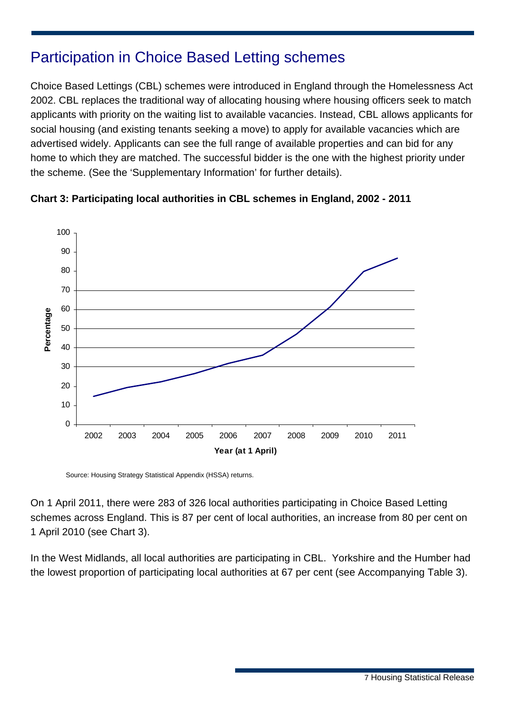### Participation in Choice Based Letting schemes

Choice Based Lettings (CBL) schemes were introduced in England through the Homelessness Act 2002. CBL replaces the traditional way of allocating housing where housing officers seek to match applicants with priority on the waiting list to available vacancies. Instead, CBL allows applicants for social housing (and existing tenants seeking a move) to apply for available vacancies which are advertised widely. Applicants can see the full range of available properties and can bid for any home to which they are matched. The successful bidder is the one with the highest priority under the scheme. (See the 'Supplementary Information' for further details).



#### **Chart 3: Participating local authorities in CBL schemes in England, 2002 - 2011**

Source: Housing Strategy Statistical Appendix (HSSA) returns.

On 1 April 2011, there were 283 of 326 local authorities participating in Choice Based Letting schemes across England. This is 87 per cent of local authorities, an increase from 80 per cent on 1 April 2010 (see Chart 3).

In the West Midlands, all local authorities are participating in CBL. Yorkshire and the Humber had the lowest proportion of participating local authorities at 67 per cent (see Accompanying Table 3).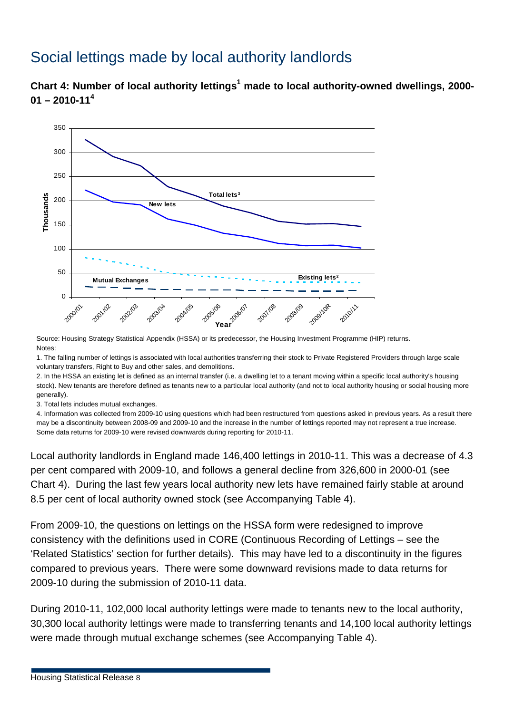### Social lettings made by local authority landlords

Chart 4: Number of local authority lettings<sup>1</sup> made to local authority-owned dwellings, 2000-**01 – 2010-11<sup>4</sup>**



Source: Housing Strategy Statistical Appendix (HSSA) or its predecessor, the Housing Investment Programme (HIP) returns. Notes:

1. The falling number of lettings is associated with local authorities transferring their stock to Private Registered Providers through large scale voluntary transfers, Right to Buy and other sales, and demolitions.

2. In the HSSA an existing let is defined as an internal transfer (i.e. a dwelling let to a tenant moving within a specific local authority's housing stock). New tenants are therefore defined as tenants new to a particular local authority (and not to local authority housing or social housing more generally).

3. Total lets includes mutual exchanges.

4. Information was collected from 2009-10 using questions which had been restructured from questions asked in previous years. As a result there may be a discontinuity between 2008-09 and 2009-10 and the increase in the number of lettings reported may not represent a true increase. Some data returns for 2009-10 were revised downwards during reporting for 2010-11.

Local authority landlords in England made 146,400 lettings in 2010-11. This was a decrease of 4.3 per cent compared with 2009-10, and follows a general decline from 326,600 in 2000-01 (see Chart 4). During the last few years local authority new lets have remained fairly stable at around 8.5 per cent of local authority owned stock (see Accompanying Table 4).

From 2009-10, the questions on lettings on the HSSA form were redesigned to improve consistency with the definitions used in CORE (Continuous Recording of Lettings – see the 'Related Statistics' section for further details). This may have led to a discontinuity in the figures compared to previous years. There were some downward revisions made to data returns for 2009-10 during the submission of 2010-11 data.

During 2010-11, 102,000 local authority lettings were made to tenants new to the local authority, 30,300 local authority lettings were made to transferring tenants and 14,100 local authority lettings were made through mutual exchange schemes (see Accompanying Table 4).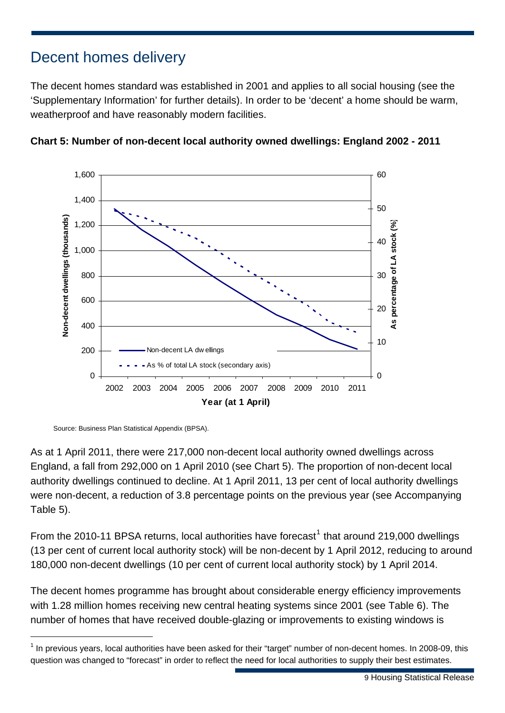### Decent homes delivery

The decent homes standard was established in 2001 and applies to all social housing (see the 'Supplementary Information' for further details). In order to be 'decent' a home should be warm, weatherproof and have reasonably modern facilities.





1

As at 1 April 2011, there were 217,000 non-decent local authority owned dwellings across England, a fall from 292,000 on 1 April 2010 (see Chart 5). The proportion of non-decent local authority dwellings continued to decline. At 1 April 2011, 13 per cent of local authority dwellings were non-decent, a reduction of 3.8 percentage points on the previous year (see Accompanying Table 5).

From the 20[1](#page-8-0)0-11 BPSA returns, local authorities have forecast<sup>1</sup> that around 219,000 dwellings (13 per cent of current local authority stock) will be non-decent by 1 April 2012, reducing to around 180,000 non-decent dwellings (10 per cent of current local authority stock) by 1 April 2014.

The decent homes programme has brought about considerable energy efficiency improvements with 1.28 million homes receiving new central heating systems since 2001 (see Table 6). The number of homes that have received double-glazing or improvements to existing windows is

Source: Business Plan Statistical Appendix (BPSA).

<span id="page-8-0"></span> $1$  In previous years, local authorities have been asked for their "target" number of non-decent homes. In 2008-09, this question was changed to "forecast" in order to reflect the need for local authorities to supply their best estimates.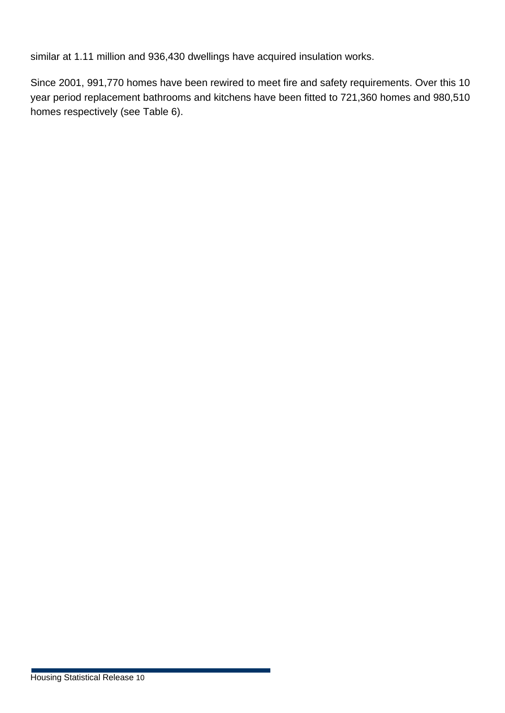similar at 1.11 million and 936,430 dwellings have acquired insulation works.

Since 2001, 991,770 homes have been rewired to meet fire and safety requirements. Over this 10 year period replacement bathrooms and kitchens have been fitted to 721,360 homes and 980,510 homes respectively (see Table 6).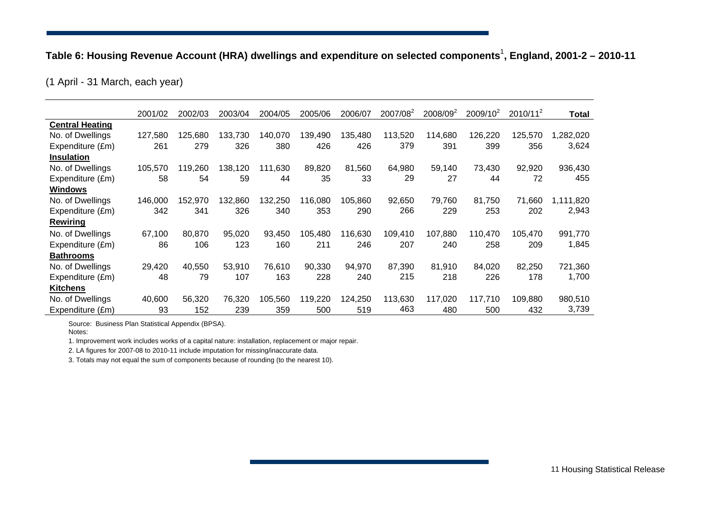### Table 6: Housing Revenue Account (HRA) dwellings and expenditure on selected components<sup>1</sup>, England, 2001-2 - 2010-11

(1 April - 31 March, each year)

|                        | 2001/02 | 2002/03 | 2003/04 | 2004/05     | 2005/06 | 2006/07 | 2007/08 <sup>2</sup> | 2008/09 <sup>2</sup> | 2009/10 <sup>2</sup> | $2010/11^2$ | Total     |
|------------------------|---------|---------|---------|-------------|---------|---------|----------------------|----------------------|----------------------|-------------|-----------|
| <b>Central Heating</b> |         |         |         |             |         |         |                      |                      |                      |             |           |
| No. of Dwellings       | 127,580 | 125,680 | 133,730 | 140,070     | 139,490 | 135,480 | 113,520              | 114,680              | 126,220              | 125,570     | ,282,020  |
| Expenditure (£m)       | 261     | 279     | 326     | 380         | 426     | 426     | 379                  | 391                  | 399                  | 356         | 3,624     |
| <b>Insulation</b>      |         |         |         |             |         |         |                      |                      |                      |             |           |
| No. of Dwellings       | 105,570 | 119,260 | 138,120 | ,630<br>111 | 89,820  | 81,560  | 64,980               | 59,140               | 73,430               | 92,920      | 936,430   |
| Expenditure (£m)       | 58      | 54      | 59      | 44          | 35      | 33      | 29                   | 27                   | 44                   | 72          | 455       |
| Windows                |         |         |         |             |         |         |                      |                      |                      |             |           |
| No. of Dwellings       | 146,000 | 152,970 | 132,860 | 132,250     | 116,080 | 105,860 | 92,650               | 79,760               | 81,750               | 71,660      | 1,111,820 |
| Expenditure (£m)       | 342     | 341     | 326     | 340         | 353     | 290     | 266                  | 229                  | 253                  | 202         | 2,943     |
| <b>Rewiring</b>        |         |         |         |             |         |         |                      |                      |                      |             |           |
| No. of Dwellings       | 67,100  | 80,870  | 95,020  | 93,450      | 105,480 | 116,630 | 109,410              | 107,880              | 110,470              | 105.470     | 991,770   |
| Expenditure (£m)       | 86      | 106     | 123     | 160         | 211     | 246     | 207                  | 240                  | 258                  | 209         | 1,845     |
| <b>Bathrooms</b>       |         |         |         |             |         |         |                      |                      |                      |             |           |
| No. of Dwellings       | 29,420  | 40,550  | 53,910  | 76,610      | 90,330  | 94,970  | 87,390               | 81,910               | 84,020               | 82,250      | 721,360   |
| Expenditure (£m)       | 48      | 79      | 107     | 163         | 228     | 240     | 215                  | 218                  | 226                  | 178         | 1,700     |
| Kitchens               |         |         |         |             |         |         |                      |                      |                      |             |           |
| No. of Dwellings       | 40,600  | 56,320  | 76,320  | 105,560     | 119,220 | 124,250 | 113,630              | 117,020              | 117,710              | 109,880     | 980,510   |
| Expenditure (£m)       | 93      | 152     | 239     | 359         | 500     | 519     | 463                  | 480                  | 500                  | 432         | 3,739     |

Source: Business Plan Statistical Appendix (BPSA).

Notes:

1. Improvement work includes works of a capital nature: installation, replacement or major repair.

2. LA figures for 2007-08 to 2010-11 include imputation for missing/inaccurate data.

3. Totals may not equal the sum of components because of rounding (to the nearest 10).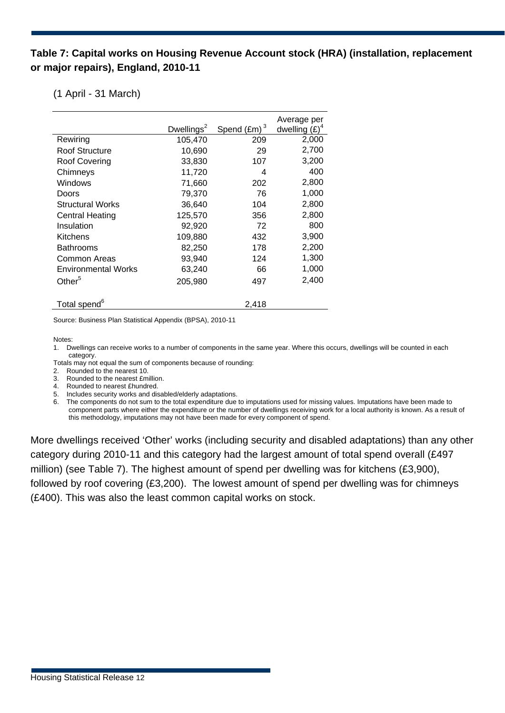#### **Table 7: Capital works on Housing Revenue Account stock (HRA) (installation, replacement or major repairs), England, 2010-11**

#### (1 April - 31 March)

|                            | Dwellings $2$ | Spend $(Em)^3$ | Average per<br>dwelling $(E)^4$ |
|----------------------------|---------------|----------------|---------------------------------|
| Rewiring                   | 105,470       | 209            | 2,000                           |
| Roof Structure             | 10,690        | 29             | 2,700                           |
| Roof Covering              | 33,830        | 107            | 3,200                           |
| Chimneys                   | 11,720        | 4              | 400                             |
| Windows                    | 71,660        | 202            | 2,800                           |
| Doors                      | 79,370        | 76             | 1,000                           |
| <b>Structural Works</b>    | 36,640        | 104            | 2,800                           |
| Central Heating            | 125,570       | 356            | 2,800                           |
| Insulation                 | 92,920        | 72             | 800                             |
| Kitchens                   | 109,880       | 432            | 3,900                           |
| <b>Bathrooms</b>           | 82,250        | 178            | 2,200                           |
| Common Areas               | 93,940        | 124            | 1,300                           |
| <b>Environmental Works</b> | 63,240        | 66             | 1,000                           |
| Other <sup>5</sup>         | 205,980       | 497            | 2,400                           |
| Total spend <sup>6</sup>   |               | 2,418          |                                 |

Source: Business Plan Statistical Appendix (BPSA), 2010-11

Notes:

1. Dwellings can receive works to a number of components in the same year. Where this occurs, dwellings will be counted in each category.

Totals may not equal the sum of components because of rounding:

2. Rounded to the nearest 10.

3. Rounded to the nearest £million.

- 4. Rounded to nearest £hundred.
- 5. Includes security works and disabled/elderly adaptations.

6. The components do not sum to the total expenditure due to imputations used for missing values. Imputations have been made to component parts where either the expenditure or the number of dwellings receiving work for a local authority is known. As a result of this methodology, imputations may not have been made for every component of spend.

More dwellings received 'Other' works (including security and disabled adaptations) than any other category during 2010-11 and this category had the largest amount of total spend overall (£497 million) (see Table 7). The highest amount of spend per dwelling was for kitchens (£3,900), followed by roof covering (£3,200). The lowest amount of spend per dwelling was for chimneys (£400). This was also the least common capital works on stock.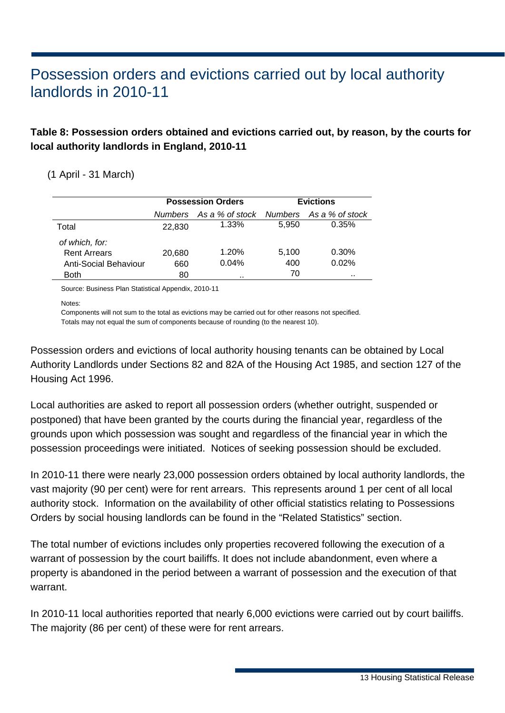### Possession orders and evictions carried out by local authority landlords in 2010-11

#### **Table 8: Possession orders obtained and evictions carried out, by reason, by the courts for local authority landlords in England, 2010-11**

#### (1 April - 31 March)

|                       |                | <b>Possession Orders</b> | <b>Evictions</b> |                 |  |  |
|-----------------------|----------------|--------------------------|------------------|-----------------|--|--|
|                       | <b>Numbers</b> | As a % of stock          | Numbers          | As a % of stock |  |  |
| Total                 | 22,830         | $1.33\%$                 | 5.950            | 0.35%           |  |  |
| of which, for:        |                |                          |                  |                 |  |  |
| <b>Rent Arrears</b>   | 20,680         | 1.20%                    | 5.100            | 0.30%           |  |  |
| Anti-Social Behaviour | 660            | 0.04%                    | 400              | 0.02%           |  |  |
| Both                  | 80             |                          | 70               | $\cdots$        |  |  |

Source: Business Plan Statistical Appendix, 2010-11

Notes:

Components will not sum to the total as evictions may be carried out for other reasons not specified.

Totals may not equal the sum of components because of rounding (to the nearest 10).

Possession orders and evictions of local authority housing tenants can be obtained by Local Authority Landlords under Sections 82 and 82A of the Housing Act 1985, and section 127 of the Housing Act 1996.

Local authorities are asked to report all possession orders (whether outright, suspended or postponed) that have been granted by the courts during the financial year, regardless of the grounds upon which possession was sought and regardless of the financial year in which the possession proceedings were initiated. Notices of seeking possession should be excluded.

In 2010-11 there were nearly 23,000 possession orders obtained by local authority landlords, the vast majority (90 per cent) were for rent arrears. This represents around 1 per cent of all local authority stock. Information on the availability of other official statistics relating to Possessions Orders by social housing landlords can be found in the "Related Statistics" section.

The total number of evictions includes only properties recovered following the execution of a warrant of possession by the court bailiffs. It does not include abandonment, even where a property is abandoned in the period between a warrant of possession and the execution of that warrant.

In 2010-11 local authorities reported that nearly 6,000 evictions were carried out by court bailiffs. The majority (86 per cent) of these were for rent arrears.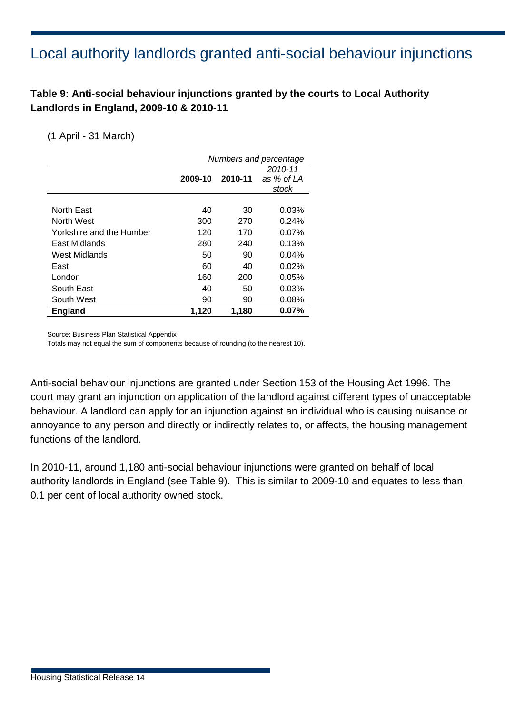### Local authority landlords granted anti-social behaviour injunctions

#### **Table 9: Anti-social behaviour injunctions granted by the courts to Local Authority Landlords in England, 2009-10 & 2010-11**

#### (1 April - 31 March)

|                          |         |         | Numbers and percentage |
|--------------------------|---------|---------|------------------------|
|                          |         |         | 2010-11                |
|                          | 2009-10 | 2010-11 | as % of LA             |
|                          |         |         | stock                  |
|                          |         |         |                        |
| North East               | 40      | 30      | 0.03%                  |
| North West               | 300     | 270     | $0.24\%$               |
| Yorkshire and the Humber | 120     | 170     | $0.07\%$               |
| East Midlands            | 280     | 240     | 0.13%                  |
| West Midlands            | 50      | 90      | 0.04%                  |
| East                     | 60      | 40      | 0.02%                  |
| London                   | 160     | 200     | 0.05%                  |
| South East               | 40      | 50      | 0.03%                  |
| South West               | 90      | 90      | 0.08%                  |
| <b>England</b>           | 1,120   | 1,180   | 0.07%                  |

Source: Business Plan Statistical Appendix

Totals may not equal the sum of components because of rounding (to the nearest 10).

Anti-social behaviour injunctions are granted under Section 153 of the Housing Act 1996. The court may grant an injunction on application of the landlord against different types of unacceptable behaviour. A landlord can apply for an injunction against an individual who is causing nuisance or annoyance to any person and directly or indirectly relates to, or affects, the housing management functions of the landlord.

In 2010-11, around 1,180 anti-social behaviour injunctions were granted on behalf of local authority landlords in England (see Table 9). This is similar to 2009-10 and equates to less than 0.1 per cent of local authority owned stock.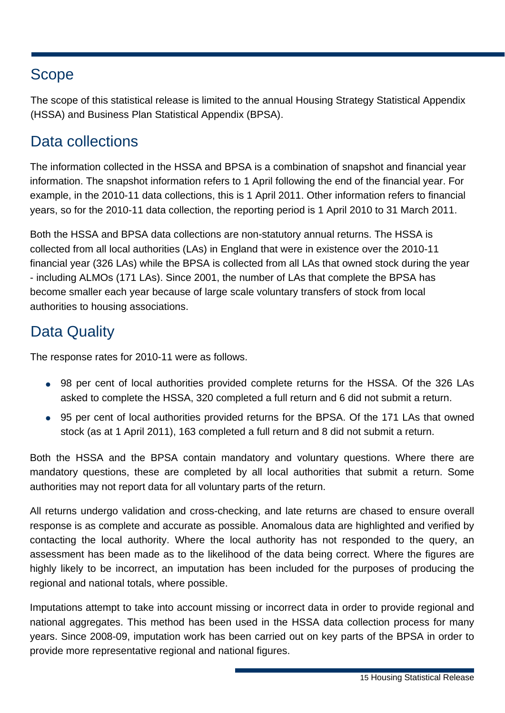### Scope

The scope of this statistical release is limited to the annual Housing Strategy Statistical Appendix (HSSA) and Business Plan Statistical Appendix (BPSA).

### Data collections

The information collected in the HSSA and BPSA is a combination of snapshot and financial year information. The snapshot information refers to 1 April following the end of the financial year. For example, in the 2010-11 data collections, this is 1 April 2011. Other information refers to financial years, so for the 2010-11 data collection, the reporting period is 1 April 2010 to 31 March 2011.

Both the HSSA and BPSA data collections are non-statutory annual returns. The HSSA is collected from all local authorities (LAs) in England that were in existence over the 2010-11 financial year (326 LAs) while the BPSA is collected from all LAs that owned stock during the year - including ALMOs (171 LAs). Since 2001, the number of LAs that complete the BPSA has become smaller each year because of large scale voluntary transfers of stock from local authorities to housing associations.

### Data Quality

The response rates for 2010-11 were as follows.

- 98 per cent of local authorities provided complete returns for the HSSA. Of the 326 LAs asked to complete the HSSA, 320 completed a full return and 6 did not submit a return.
- 95 per cent of local authorities provided returns for the BPSA. Of the 171 LAs that owned stock (as at 1 April 2011), 163 completed a full return and 8 did not submit a return.

Both the HSSA and the BPSA contain mandatory and voluntary questions. Where there are mandatory questions, these are completed by all local authorities that submit a return. Some authorities may not report data for all voluntary parts of the return.

All returns undergo validation and cross-checking, and late returns are chased to ensure overall response is as complete and accurate as possible. Anomalous data are highlighted and verified by contacting the local authority. Where the local authority has not responded to the query, an assessment has been made as to the likelihood of the data being correct. Where the figures are highly likely to be incorrect, an imputation has been included for the purposes of producing the regional and national totals, where possible.

Imputations attempt to take into account missing or incorrect data in order to provide regional and national aggregates. This method has been used in the HSSA data collection process for many years. Since 2008-09, imputation work has been carried out on key parts of the BPSA in order to provide more representative regional and national figures.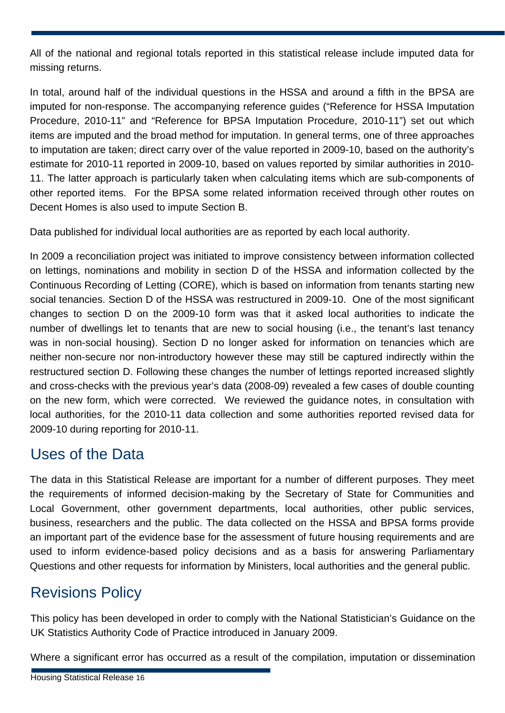All of the national and regional totals reported in this statistical release include imputed data for missing returns.

In total, around half of the individual questions in the HSSA and around a fifth in the BPSA are imputed for non-response. The accompanying reference guides ("Reference for HSSA Imputation Procedure, 2010-11" and "Reference for BPSA Imputation Procedure, 2010-11") set out which items are imputed and the broad method for imputation. In general terms, one of three approaches to imputation are taken; direct carry over of the value reported in 2009-10, based on the authority's estimate for 2010-11 reported in 2009-10, based on values reported by similar authorities in 2010- 11. The latter approach is particularly taken when calculating items which are sub-components of other reported items. For the BPSA some related information received through other routes on Decent Homes is also used to impute Section B.

Data published for individual local authorities are as reported by each local authority.

In 2009 a reconciliation project was initiated to improve consistency between information collected on lettings, nominations and mobility in section D of the HSSA and information collected by the Continuous Recording of Letting (CORE), which is based on information from tenants starting new social tenancies. Section D of the HSSA was restructured in 2009-10. One of the most significant changes to section D on the 2009-10 form was that it asked local authorities to indicate the number of dwellings let to tenants that are new to social housing (i.e., the tenant's last tenancy was in non-social housing). Section D no longer asked for information on tenancies which are neither non-secure nor non-introductory however these may still be captured indirectly within the restructured section D. Following these changes the number of lettings reported increased slightly and cross-checks with the previous year's data (2008-09) revealed a few cases of double counting on the new form, which were corrected. We reviewed the guidance notes, in consultation with local authorities, for the 2010-11 data collection and some authorities reported revised data for 2009-10 during reporting for 2010-11.

### Uses of the Data

The data in this Statistical Release are important for a number of different purposes. They meet the requirements of informed decision-making by the Secretary of State for Communities and Local Government, other government departments, local authorities, other public services, business, researchers and the public. The data collected on the HSSA and BPSA forms provide an important part of the evidence base for the assessment of future housing requirements and are used to inform evidence-based policy decisions and as a basis for answering Parliamentary Questions and other requests for information by Ministers, local authorities and the general public.

### Revisions Policy

This policy has been developed in order to comply with the National Statistician's Guidance on the UK Statistics Authority Code of Practice introduced in January 2009.

Where a significant error has occurred as a result of the compilation, imputation or dissemination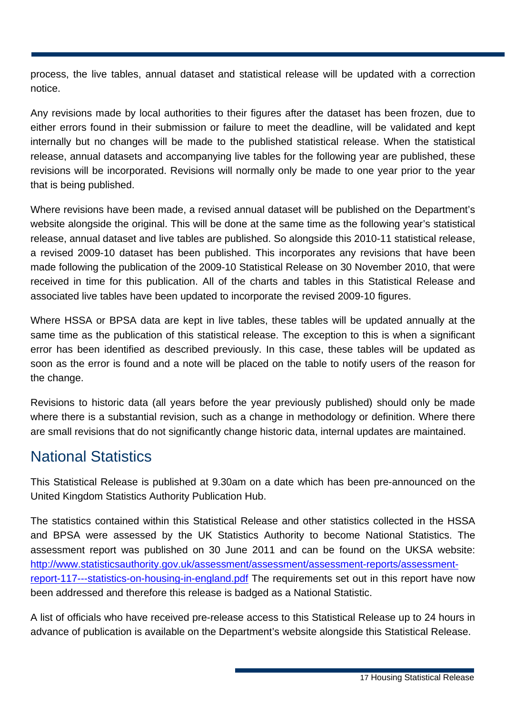process, the live tables, annual dataset and statistical release will be updated with a correction notice.

Any revisions made by local authorities to their figures after the dataset has been frozen, due to either errors found in their submission or failure to meet the deadline, will be validated and kept internally but no changes will be made to the published statistical release. When the statistical release, annual datasets and accompanying live tables for the following year are published, these revisions will be incorporated. Revisions will normally only be made to one year prior to the year that is being published.

Where revisions have been made, a revised annual dataset will be published on the Department's website alongside the original. This will be done at the same time as the following year's statistical release, annual dataset and live tables are published. So alongside this 2010-11 statistical release, a revised 2009-10 dataset has been published. This incorporates any revisions that have been made following the publication of the 2009-10 Statistical Release on 30 November 2010, that were received in time for this publication. All of the charts and tables in this Statistical Release and associated live tables have been updated to incorporate the revised 2009-10 figures.

Where HSSA or BPSA data are kept in live tables, these tables will be updated annually at the same time as the publication of this statistical release. The exception to this is when a significant error has been identified as described previously. In this case, these tables will be updated as soon as the error is found and a note will be placed on the table to notify users of the reason for the change.

Revisions to historic data (all years before the year previously published) should only be made where there is a substantial revision, such as a change in methodology or definition. Where there are small revisions that do not significantly change historic data, internal updates are maintained.

### National Statistics

This Statistical Release is published at 9.30am on a date which has been pre-announced on the United Kingdom Statistics Authority Publication Hub.

The statistics contained within this Statistical Release and other statistics collected in the HSSA and BPSA were assessed by the UK Statistics Authority to become National Statistics. The assessment report was published on 30 June 2011 and can be found on the UKSA website: [http://www.statisticsauthority.gov.uk/assessment/assessment/assessment-reports/assessment](http://www.statisticsauthority.gov.uk/assessment/assessment/assessment-reports/assessment-report-117---statistics-on-housing-in-england.pdf)[report-117---statistics-on-housing-in-england.pdf](http://www.statisticsauthority.gov.uk/assessment/assessment/assessment-reports/assessment-report-117---statistics-on-housing-in-england.pdf) The requirements set out in this report have now been addressed and therefore this release is badged as a National Statistic.

A list of officials who have received pre-release access to this Statistical Release up to 24 hours in advance of publication is available on the Department's website alongside this Statistical Release.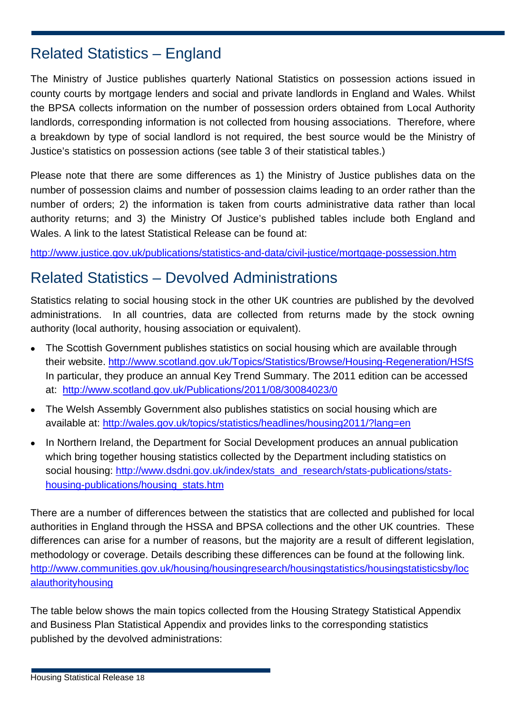### Related Statistics – England

The Ministry of Justice publishes quarterly National Statistics on possession actions issued in county courts by mortgage lenders and social and private landlords in England and Wales. Whilst the BPSA collects information on the number of possession orders obtained from Local Authority landlords, corresponding information is not collected from housing associations. Therefore, where a breakdown by type of social landlord is not required, the best source would be the Ministry of Justice's statistics on possession actions (see table 3 of their statistical tables.)

Please note that there are some differences as 1) the Ministry of Justice publishes data on the number of possession claims and number of possession claims leading to an order rather than the number of orders; 2) the information is taken from courts administrative data rather than local authority returns; and 3) the Ministry Of Justice's published tables include both England and Wales. A link to the latest Statistical Release can be found at:

<http://www.justice.gov.uk/publications/statistics-and-data/civil-justice/mortgage-possession.htm>

### Related Statistics – Devolved Administrations

Statistics relating to social housing stock in the other UK countries are published by the devolved administrations. In all countries, data are collected from returns made by the stock owning authority (local authority, housing association or equivalent).

- The Scottish Government publishes statistics on social housing which are available through their website. <http://www.scotland.gov.uk/Topics/Statistics/Browse/Housing-Regeneration/HSfS> In particular, they produce an annual Key Trend Summary. The 2011 edition can be accessed at: <http://www.scotland.gov.uk/Publications/2011/08/30084023/0>
- The Welsh Assembly Government also publishes statistics on social housing which are available at:<http://wales.gov.uk/topics/statistics/headlines/housing2011/?lang=en>
- In Northern Ireland, the Department for Social Development produces an annual publication which bring together housing statistics collected by the Department including statistics on social housing: [http://www.dsdni.gov.uk/index/stats\\_and\\_research/stats-publications/stats](http://www.dsdni.gov.uk/index/stats_and_research/stats-publications/stats-housing-publications/housing_stats.htm)[housing-publications/housing\\_stats.htm](http://www.dsdni.gov.uk/index/stats_and_research/stats-publications/stats-housing-publications/housing_stats.htm)

There are a number of differences between the statistics that are collected and published for local authorities in England through the HSSA and BPSA collections and the other UK countries. These differences can arise for a number of reasons, but the majority are a result of different legislation, methodology or coverage. Details describing these differences can be found at the following link. [http://www.communities.gov.uk/housing/housingresearch/housingstatistics/housingstatisticsby/loc](http://www.communities.gov.uk/housing/housingresearch/housingstatistics/housingstatisticsby/localauthorityhousing) [alauthorityhousing](http://www.communities.gov.uk/housing/housingresearch/housingstatistics/housingstatisticsby/localauthorityhousing)

The table below shows the main topics collected from the Housing Strategy Statistical Appendix and Business Plan Statistical Appendix and provides links to the corresponding statistics published by the devolved administrations: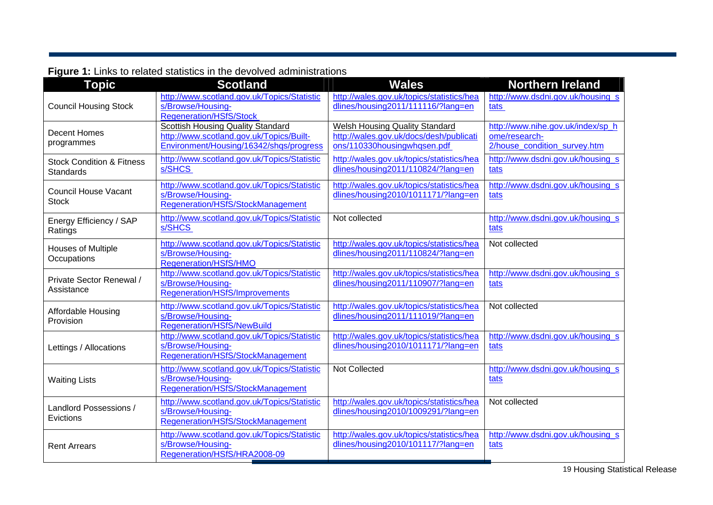#### **Figure 1:** Links to related statistics in the devolved administrations

| <b>Topic</b>                                      | <b>Scotland</b>                                                                                                                 | <b>Wales</b>                                                                                                    | <b>Northern Ireland</b>                                                            |
|---------------------------------------------------|---------------------------------------------------------------------------------------------------------------------------------|-----------------------------------------------------------------------------------------------------------------|------------------------------------------------------------------------------------|
| <b>Council Housing Stock</b>                      | http://www.scotland.gov.uk/Topics/Statistic<br>s/Browse/Housing-<br><b>Regeneration/HSfS/Stock</b>                              | http://wales.gov.uk/topics/statistics/hea<br>dlines/housing2011/111116/?lang=en                                 | http://www.dsdni.gov.uk/housing s<br>tats                                          |
| <b>Decent Homes</b><br>programmes                 | <b>Scottish Housing Quality Standard</b><br>http://www.scotland.gov.uk/Topics/Built-<br>Environment/Housing/16342/shqs/progress | <b>Welsh Housing Quality Standard</b><br>http://wales.gov.uk/docs/desh/publicati<br>ons/110330housingwhqsen.pdf | http://www.nihe.gov.uk/index/sp h<br>ome/research-<br>2/house_condition_survey.htm |
| <b>Stock Condition &amp; Fitness</b><br>Standards | http://www.scotland.gov.uk/Topics/Statistic<br>s/SHCS                                                                           | http://wales.gov.uk/topics/statistics/hea<br>dlines/housing2011/110824/?lang=en                                 | http://www.dsdni.gov.uk/housing s<br>tats                                          |
| <b>Council House Vacant</b><br><b>Stock</b>       | http://www.scotland.gov.uk/Topics/Statistic<br>s/Browse/Housing-<br>Regeneration/HSfS/StockManagement                           | http://wales.gov.uk/topics/statistics/hea<br>dlines/housing2010/1011171/?lang=en                                | http://www.dsdni.gov.uk/housing s<br>tats                                          |
| Energy Efficiency / SAP<br>Ratings                | http://www.scotland.gov.uk/Topics/Statistic<br>s/SHCS                                                                           | Not collected                                                                                                   | http://www.dsdni.gov.uk/housing_s<br>tats                                          |
| <b>Houses of Multiple</b><br>Occupations          | http://www.scotland.gov.uk/Topics/Statistic<br>s/Browse/Housing-<br>Regeneration/HSfS/HMO                                       | http://wales.gov.uk/topics/statistics/hea<br>dlines/housing2011/110824/?lang=en                                 | Not collected                                                                      |
| Private Sector Renewal /<br>Assistance            | http://www.scotland.gov.uk/Topics/Statistic<br>s/Browse/Housing-<br>Regeneration/HSfS/Improvements                              | http://wales.gov.uk/topics/statistics/hea<br>dlines/housing2011/110907/?lang=en                                 | http://www.dsdni.gov.uk/housing s<br>tats                                          |
| Affordable Housing<br>Provision                   | http://www.scotland.gov.uk/Topics/Statistic<br>s/Browse/Housing-<br><b>Regeneration/HSfS/NewBuild</b>                           | http://wales.gov.uk/topics/statistics/hea<br>dlines/housing2011/111019/?lang=en                                 | Not collected                                                                      |
| Lettings / Allocations                            | http://www.scotland.gov.uk/Topics/Statistic<br>s/Browse/Housing-<br>Regeneration/HSfS/StockManagement                           | http://wales.gov.uk/topics/statistics/hea<br>dlines/housing2010/1011171/?lang=en                                | http://www.dsdni.gov.uk/housing s<br>tats                                          |
| <b>Waiting Lists</b>                              | http://www.scotland.gov.uk/Topics/Statistic<br>s/Browse/Housing-<br>Regeneration/HSfS/StockManagement                           | <b>Not Collected</b>                                                                                            | http://www.dsdni.gov.uk/housing_s<br>tats                                          |
| Landlord Possessions /<br>Evictions               | http://www.scotland.gov.uk/Topics/Statistic<br>s/Browse/Housing-<br>Regeneration/HSfS/StockManagement                           | http://wales.gov.uk/topics/statistics/hea<br>dlines/housing2010/1009291/?lang=en                                | Not collected                                                                      |
| <b>Rent Arrears</b>                               | http://www.scotland.gov.uk/Topics/Statistic<br>s/Browse/Housing-<br>Regeneration/HSfS/HRA2008-09                                | http://wales.gov.uk/topics/statistics/hea<br>dlines/housing2010/101117/?lang=en                                 | http://www.dsdni.gov.uk/housing s<br>tats                                          |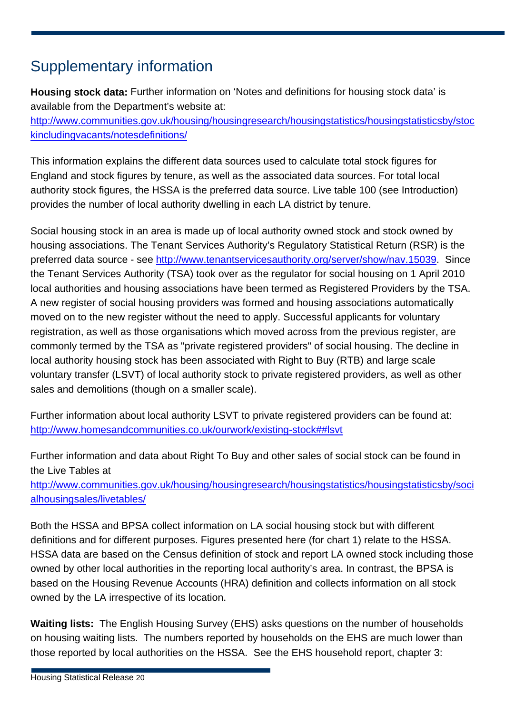### Supplementary information

**Housing stock data:** Further information on 'Notes and definitions for housing stock data' is available from the Department's website at: [http://www.communities.gov.uk/housing/housingresearch/housingstatistics/housingstatisticsby/stoc](http://www.communities.gov.uk/housing/housingresearch/housingstatistics/housingstatisticsby/stockincludingvacants/notesdefinitions/) [kincludingvacants/notesdefinitions/](http://www.communities.gov.uk/housing/housingresearch/housingstatistics/housingstatisticsby/stockincludingvacants/notesdefinitions/)

This information explains the different data sources used to calculate total stock figures for England and stock figures by tenure, as well as the associated data sources. For total local authority stock figures, the HSSA is the preferred data source. Live table 100 (see Introduction) provides the number of local authority dwelling in each LA district by tenure.

Social housing stock in an area is made up of local authority owned stock and stock owned by housing associations. The Tenant Services Authority's Regulatory Statistical Return (RSR) is the preferred data source - see [http://www.tenantservicesauthority.org/server/show/nav.15039.](http://www.tenantservicesauthority.org/server/show/nav.15039) Since the Tenant Services Authority (TSA) took over as the regulator for social housing on 1 April 2010 local authorities and housing associations have been termed as Registered Providers by the TSA. A new register of social housing providers was formed and housing associations automatically moved on to the new register without the need to apply. Successful applicants for voluntary registration, as well as those organisations which moved across from the previous register, are commonly termed by the TSA as "private registered providers" of social housing. The decline in local authority housing stock has been associated with Right to Buy (RTB) and large scale voluntary transfer (LSVT) of local authority stock to private registered providers, as well as other sales and demolitions (though on a smaller scale).

Further information about local authority LSVT to private registered providers can be found at: <http://www.homesandcommunities.co.uk/ourwork/existing-stock##lsvt>

Further information and data about Right To Buy and other sales of social stock can be found in the Live Tables at

[http://www.communities.gov.uk/housing/housingresearch/housingstatistics/housingstatisticsby/soci](http://www.communities.gov.uk/housing/housingresearch/housingstatistics/housingstatisticsby/socialhousingsales/livetables/) [alhousingsales/livetables/](http://www.communities.gov.uk/housing/housingresearch/housingstatistics/housingstatisticsby/socialhousingsales/livetables/)

Both the HSSA and BPSA collect information on LA social housing stock but with different definitions and for different purposes. Figures presented here (for chart 1) relate to the HSSA. HSSA data are based on the Census definition of stock and report LA owned stock including those owned by other local authorities in the reporting local authority's area. In contrast, the BPSA is based on the Housing Revenue Accounts (HRA) definition and collects information on all stock owned by the LA irrespective of its location.

**Waiting lists:** The English Housing Survey (EHS) asks questions on the number of households on housing waiting lists. The numbers reported by households on the EHS are much lower than those reported by local authorities on the HSSA. See the EHS household report, chapter 3: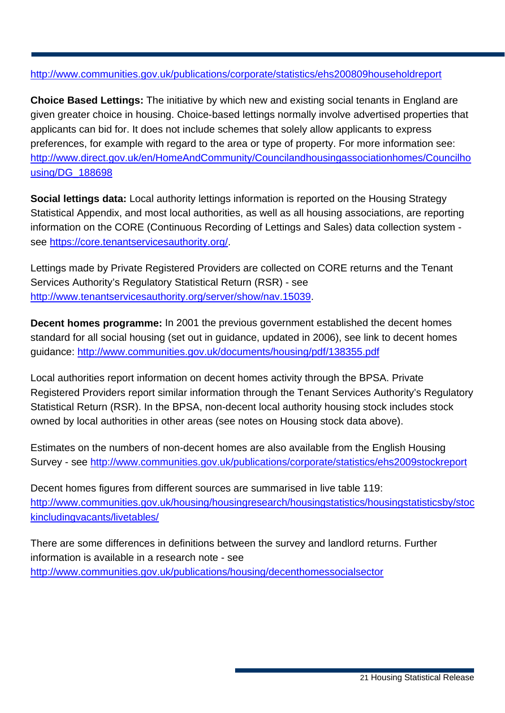#### <http://www.communities.gov.uk/publications/corporate/statistics/ehs200809householdreport>

**Choice Based Lettings:** The initiative by which new and existing social tenants in England are given greater choice in housing. Choice-based lettings normally involve advertised properties that applicants can bid for. It does not include schemes that solely allow applicants to express preferences, for example with regard to the area or type of property. For more information see: [http://www.direct.gov.uk/en/HomeAndCommunity/Councilandhousingassociationhomes/Councilho](http://www.direct.gov.uk/en/HomeAndCommunity/Councilandhousingassociationhomes/Councilhousing/DG_188698) [using/DG\\_188698](http://www.direct.gov.uk/en/HomeAndCommunity/Councilandhousingassociationhomes/Councilhousing/DG_188698) 

**Social lettings data:** Local authority lettings information is reported on the Housing Strategy Statistical Appendix, and most local authorities, as well as all housing associations, are reporting information on the CORE (Continuous Recording of Lettings and Sales) data collection system see [https://core.tenantservicesauthority.org/.](https://core.tenantservicesauthority.org/)

Lettings made by Private Registered Providers are collected on CORE returns and the Tenant Services Authority's Regulatory Statistical Return (RSR) - see [http://www.tenantservicesauthority.org/server/show/nav.15039.](http://www.tenantservicesauthority.org/server/show/nav.15039)

**Decent homes programme:** In 2001 the previous government established the decent homes standard for all social housing (set out in guidance, updated in 2006), see link to decent homes guidance:<http://www.communities.gov.uk/documents/housing/pdf/138355.pdf>

Local authorities report information on decent homes activity through the BPSA. Private Registered Providers report similar information through the Tenant Services Authority's Regulatory Statistical Return (RSR). In the BPSA, non-decent local authority housing stock includes stock owned by local authorities in other areas (see notes on Housing stock data above).

Estimates on the numbers of non-decent homes are also available from the English Housing Survey - see <http://www.communities.gov.uk/publications/corporate/statistics/ehs2009stockreport>

Decent homes figures from different sources are summarised in live table 119: [http://www.communities.gov.uk/housing/housingresearch/housingstatistics/housingstatisticsby/stoc](http://www.communities.gov.uk/housing/housingresearch/housingstatistics/housingstatisticsby/stockincludingvacants/livetables/) [kincludingvacants/livetables/](http://www.communities.gov.uk/housing/housingresearch/housingstatistics/housingstatisticsby/stockincludingvacants/livetables/)

There are some differences in definitions between the survey and landlord returns. Further information is available in a research note - see <http://www.communities.gov.uk/publications/housing/decenthomessocialsector>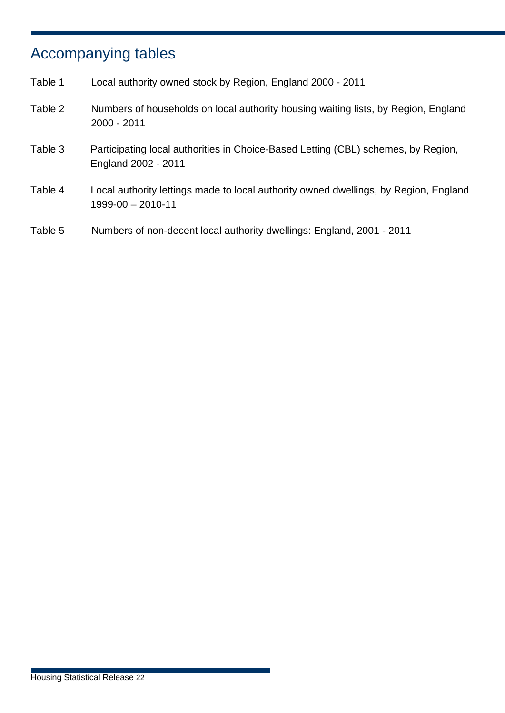## Accompanying tables

| Table 1 | Local authority owned stock by Region, England 2000 - 2011                                                |
|---------|-----------------------------------------------------------------------------------------------------------|
| Table 2 | Numbers of households on local authority housing waiting lists, by Region, England<br>2000 - 2011         |
| Table 3 | Participating local authorities in Choice-Based Letting (CBL) schemes, by Region,<br>England 2002 - 2011  |
| Table 4 | Local authority lettings made to local authority owned dwellings, by Region, England<br>1999-00 - 2010-11 |
| Table 5 | Numbers of non-decent local authority dwellings: England, 2001 - 2011                                     |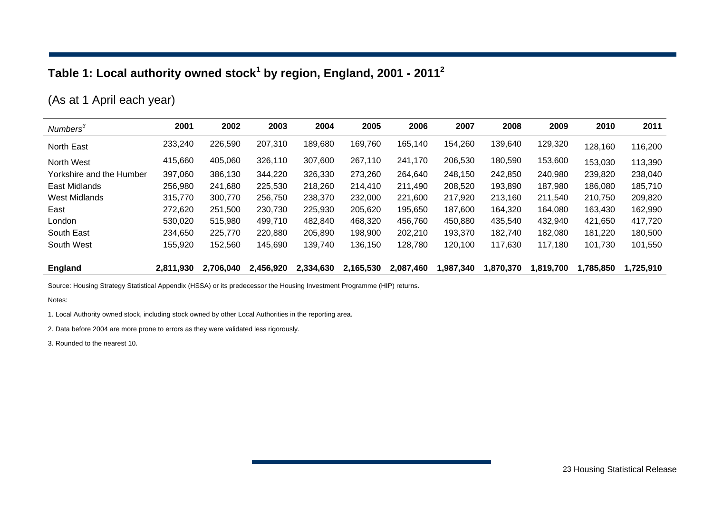### **Table 1: Local authority owned stock1 by region, England, 2001 - 20112**

### (As at 1 April each year)

| Numbers <sup>3</sup>     | 2001      | 2002      | 2003      | 2004      | 2005      | 2006      | 2007      | 2008      | 2009      | 2010      | 2011      |
|--------------------------|-----------|-----------|-----------|-----------|-----------|-----------|-----------|-----------|-----------|-----------|-----------|
| North East               | 233,240   | 226,590   | 207,310   | 189,680   | 169,760   | 165,140   | 154,260   | 139,640   | 129,320   | 128,160   | 116,200   |
| North West               | 415,660   | 405,060   | 326,110   | 307,600   | 267,110   | 241,170   | 206,530   | 180,590   | 153,600   | 153,030   | 113,390   |
| Yorkshire and the Humber | 397,060   | 386,130   | 344,220   | 326,330   | 273,260   | 264,640   | 248,150   | 242,850   | 240,980   | 239,820   | 238,040   |
| East Midlands            | 256,980   | 241,680   | 225,530   | 218,260   | 214,410   | 211,490   | 208,520   | 193,890   | 187,980   | 186,080   | 185,710   |
| West Midlands            | 315,770   | 300,770   | 256,750   | 238,370   | 232,000   | 221,600   | 217,920   | 213,160   | 211,540   | 210,750   | 209,820   |
| East                     | 272,620   | 251,500   | 230,730   | 225,930   | 205,620   | 195,650   | 187,600   | 164,320   | 164,080   | 163,430   | 162,990   |
| London                   | 530,020   | 515,980   | 499.710   | 482,840   | 468,320   | 456,760   | 450,880   | 435,540   | 432,940   | 421,650   | 417,720   |
| South East               | 234,650   | 225,770   | 220,880   | 205,890   | 198,900   | 202,210   | 193,370   | 182,740   | 182,080   | 181,220   | 180,500   |
| South West               | 155,920   | 152,560   | 145,690   | 139,740   | 136,150   | 128,780   | 120,100   | 117,630   | 117,180   | 101,730   | 101,550   |
| <b>England</b>           | 2.811.930 | 2,706,040 | 2,456,920 | 2,334,630 | 2,165,530 | 2,087,460 | 1,987,340 | 1,870,370 | 1.819.700 | 1,785,850 | 1,725,910 |

Source: Housing Strategy Statistical Appendix (HSSA) or its predecessor the Housing Investment Programme (HIP) returns.

Notes:

1. Local Authority owned stock, including stock owned by other Local Authorities in the reporting area.

2. Data before 2004 are more prone to errors as they were validated less rigorously.

3. Rounded to the nearest 10.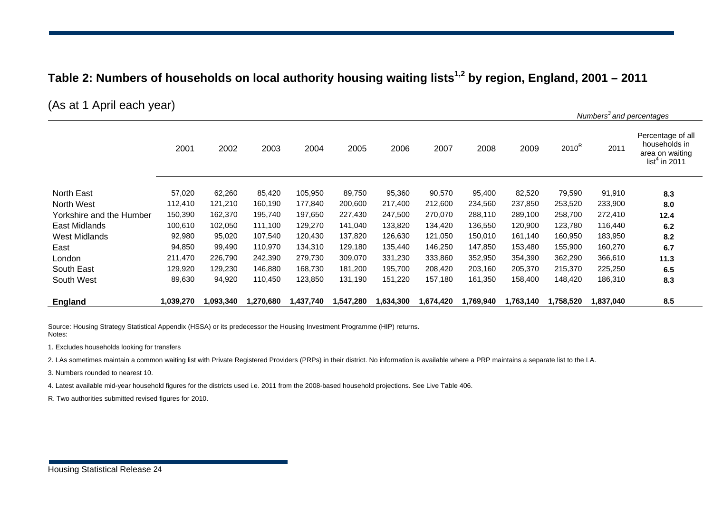#### **Table 2: Numbers of households on local authority housing waiting lists1,2 by region, England, 2001 – 2011**

(As at 1 April each year)

|                          |           |           |           |           |           |           |           |           |           |           | Numbers <sup>3</sup> and percentages |                                                                           |
|--------------------------|-----------|-----------|-----------|-----------|-----------|-----------|-----------|-----------|-----------|-----------|--------------------------------------|---------------------------------------------------------------------------|
|                          | 2001      | 2002      | 2003      | 2004      | 2005      | 2006      | 2007      | 2008      | 2009      | $2010^R$  | 2011                                 | Percentage of all<br>households in<br>area on waiting<br>list $4$ in 2011 |
| North East               | 57,020    | 62,260    | 85,420    | 105,950   | 89,750    | 95,360    | 90,570    | 95,400    | 82,520    | 79,590    | 91,910                               | 8.3                                                                       |
| North West               | 112,410   | 121,210   | 160,190   | 177,840   | 200,600   | 217,400   | 212,600   | 234,560   | 237,850   | 253,520   | 233,900                              | 8.0                                                                       |
| Yorkshire and the Humber | 150,390   | 162,370   | 195,740   | 197,650   | 227,430   | 247,500   | 270,070   | 288,110   | 289,100   | 258,700   | 272,410                              | 12.4                                                                      |
| East Midlands            | 100,610   | 102,050   | 111,100   | 129,270   | 141,040   | 133,820   | 134,420   | 136,550   | 120,900   | 123,780   | 116,440                              | 6.2                                                                       |
| West Midlands            | 92,980    | 95,020    | 107,540   | 120,430   | 137,820   | 126,630   | 121,050   | 150,010   | 161,140   | 160,950   | 183,950                              | 8.2                                                                       |
| East                     | 94,850    | 99,490    | 110,970   | 134,310   | 129,180   | 135,440   | 146,250   | 147,850   | 153,480   | 155,900   | 160,270                              | 6.7                                                                       |
| London                   | 211,470   | 226,790   | 242,390   | 279,730   | 309,070   | 331,230   | 333,860   | 352,950   | 354,390   | 362,290   | 366,610                              | 11.3                                                                      |
| South East               | 129,920   | 129,230   | 146,880   | 168,730   | 181,200   | 195,700   | 208,420   | 203,160   | 205,370   | 215,370   | 225,250                              | 6.5                                                                       |
| South West               | 89,630    | 94,920    | 110,450   | 123,850   | 131,190   | 151,220   | 157,180   | 161,350   | 158,400   | 148,420   | 186,310                              | 8.3                                                                       |
| England                  | 1,039,270 | 1,093,340 | 1,270,680 | 1,437,740 | 1,547,280 | 1,634,300 | 1,674,420 | 1,769,940 | 1,763,140 | 1,758,520 | 1,837,040                            | 8.5                                                                       |

Source: Housing Strategy Statistical Appendix (HSSA) or its predecessor the Housing Investment Programme (HIP) returns. Notes:

1. Excludes households looking for transfers

2. LAs sometimes maintain a common waiting list with Private Registered Providers (PRPs) in their district. No information is available where a PRP maintains a separate list to the LA.

3. Numbers rounded to nearest 10.

4. Latest available mid-year household figures for the districts used i.e. 2011 from the 2008-based household projections. See Live Table 406.

R. Two authorities submitted revised figures for 2010.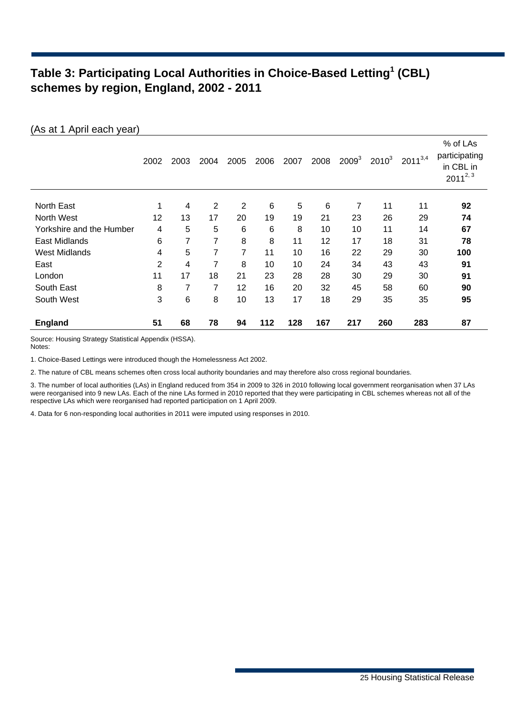#### **Table 3: Participating Local Authorities in Choice-Based Letting<sup>1</sup> (CBL) schemes by region, England, 2002 - 2011**

|                          | 2002           | 2003 | 2004           | 2005           | 2006 | 2007 | 2008            | $2009^3$ | $2010^3$ | $2011^{3,4}$ | % of LAs<br>participating<br>in CBL in<br>$2011^{2,3}$ |
|--------------------------|----------------|------|----------------|----------------|------|------|-----------------|----------|----------|--------------|--------------------------------------------------------|
| North East               | 1              | 4    | $\overline{2}$ | $\overline{2}$ | 6    | 5    | $6\phantom{1}6$ | 7        | 11       | 11           | 92                                                     |
| North West               | 12             | 13   | 17             | 20             | 19   | 19   | 21              | 23       | 26       | 29           | 74                                                     |
| Yorkshire and the Humber | 4              | 5    | 5              | 6              | 6    | 8    | 10              | 10       | 11       | 14           | 67                                                     |
| East Midlands            | 6              | 7    | 7              | 8              | 8    | 11   | 12              | 17       | 18       | 31           | 78                                                     |
| <b>West Midlands</b>     | 4              | 5    | 7              | $\overline{7}$ | 11   | 10   | 16              | 22       | 29       | 30           | 100                                                    |
| East                     | $\overline{2}$ | 4    | 7              | 8              | 10   | 10   | 24              | 34       | 43       | 43           | 91                                                     |
| London                   | 11             | 17   | 18             | 21             | 23   | 28   | 28              | 30       | 29       | 30           | 91                                                     |
| South East               | 8              | 7    | 7              | 12             | 16   | 20   | 32              | 45       | 58       | 60           | 90                                                     |
| South West               | 3              | 6    | 8              | 10             | 13   | 17   | 18              | 29       | 35       | 35           | 95                                                     |
| <b>England</b>           | 51             | 68   | 78             | 94             | 112  | 128  | 167             | 217      | 260      | 283          | 87                                                     |

Source: Housing Strategy Statistical Appendix (HSSA). Notes:

(As at 1 April each year)

1. Choice-Based Lettings were introduced though the Homelessness Act 2002.

2. The nature of CBL means schemes often cross local authority boundaries and may therefore also cross regional boundaries.

3. The number of local authorities (LAs) in England reduced from 354 in 2009 to 326 in 2010 following local government reorganisation when 37 LAs were reorganised into 9 new LAs. Each of the nine LAs formed in 2010 reported that they were participating in CBL schemes whereas not all of the respective LAs which were reorganised had reported participation on 1 April 2009.

4. Data for 6 non-responding local authorities in 2011 were imputed using responses in 2010.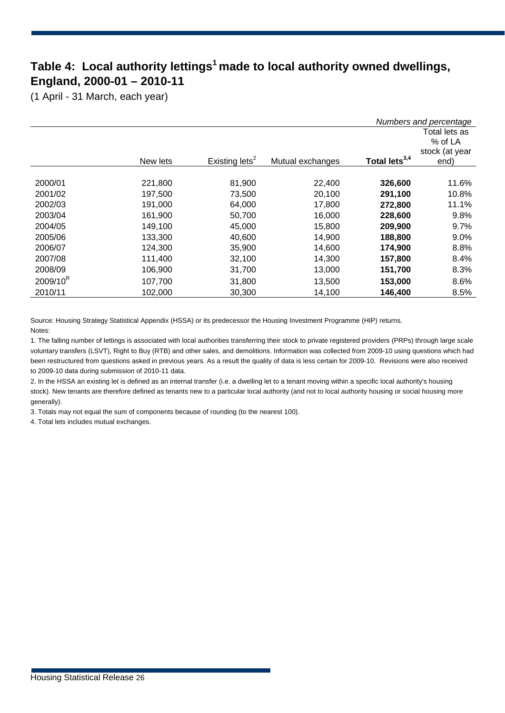### **Table 4: Local authority lettings1 made to local authority owned dwellings, England, 2000-01 – 2010-11**

(1 April - 31 March, each year)

|             |          |                            |                  |                           | Numbers and percentage   |  |
|-------------|----------|----------------------------|------------------|---------------------------|--------------------------|--|
|             |          |                            |                  |                           | Total lets as<br>% of LA |  |
|             |          |                            |                  |                           | stock (at year           |  |
|             | New lets | Existing lets <sup>2</sup> | Mutual exchanges | Total lets <sup>3,4</sup> | end)                     |  |
|             |          |                            |                  |                           |                          |  |
| 2000/01     | 221,800  | 81,900                     | 22,400           | 326,600                   | 11.6%                    |  |
| 2001/02     | 197.500  | 73,500                     | 20,100           | 291,100                   | 10.8%                    |  |
| 2002/03     | 191,000  | 64,000                     | 17,800           | 272,800                   | 11.1%                    |  |
| 2003/04     | 161,900  | 50,700                     | 16,000           | 228,600                   | 9.8%                     |  |
| 2004/05     | 149,100  | 45,000                     | 15,800           | 209,900                   | 9.7%                     |  |
| 2005/06     | 133,300  | 40,600                     | 14,900           | 188,800                   | 9.0%                     |  |
| 2006/07     | 124,300  | 35,900                     | 14,600           | 174,900                   | 8.8%                     |  |
| 2007/08     | 111,400  | 32,100                     | 14,300           | 157,800                   | 8.4%                     |  |
| 2008/09     | 106,900  | 31,700                     | 13,000           | 151,700                   | 8.3%                     |  |
| $2009/10^R$ | 107,700  | 31,800                     | 13,500           | 153,000                   | 8.6%                     |  |
| 2010/11     | 102,000  | 30,300                     | 14,100           | 146,400                   | 8.5%                     |  |

Source: Housing Strategy Statistical Appendix (HSSA) or its predecessor the Housing Investment Programme (HIP) returns. Notes:

1. The falling number of lettings is associated with local authorities transferring their stock to private registered providers (PRPs) through large scale voluntary transfers (LSVT), Right to Buy (RTB) and other sales, and demolitions. Information was collected from 2009-10 using questions which had been restructured from questions asked in previous years. As a result the quality of data is less certain for 2009-10. Revisions were also received to 2009-10 data during submission of 2010-11 data.

2. In the HSSA an existing let is defined as an internal transfer (i.e. a dwelling let to a tenant moving within a specific local authority's housing stock). New tenants are therefore defined as tenants new to a particular local authority (and not to local authority housing or social housing more generally).

3. Totals may not equal the sum of components because of rounding (to the nearest 100).

4. Total lets includes mutual exchanges.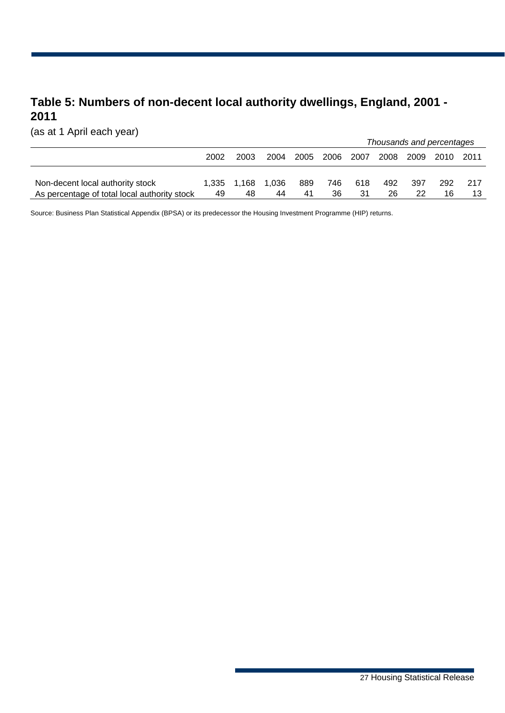### **Table 5: Numbers of non-decent local authority dwellings, England, 2001 - 2011**

(as at 1 April each year)

|                                              |      |             |       |      |      |        | Thousands and percentages |      |      |       |  |  |
|----------------------------------------------|------|-------------|-------|------|------|--------|---------------------------|------|------|-------|--|--|
|                                              | 2002 | 2003        | 2004  | 2005 | 2006 | , 2007 | 2008                      | 2009 | 2010 | -2011 |  |  |
|                                              |      |             |       |      |      |        |                           |      |      |       |  |  |
| Non-decent local authority stock             |      | 1.335 1.168 | 1.036 | 889  | 746  | 618    | 492                       | 397  | 292  | 217   |  |  |
| As percentage of total local authority stock | 49   | 48          | 44    | 41   | 36   | 31     | 26                        | 22   |      |       |  |  |

Source: Business Plan Statistical Appendix (BPSA) or its predecessor the Housing Investment Programme (HIP) returns.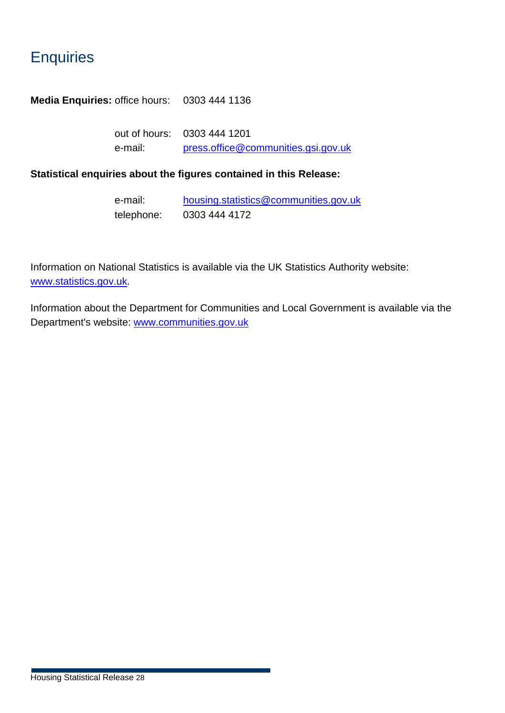### **Enquiries**

**Media Enquiries:** office hours: 0303 444 1136

out of hours: 0303 444 1201 e-mail: [press.office@communities.gsi.gov.uk](mailto:press.office@communities.gsi.gov.uk)

#### **Statistical enquiries about the figures contained in this Release:**

| e-mail:    | housing.statistics@communities.gov.uk |
|------------|---------------------------------------|
| telephone: | 0303 444 4172                         |

Information on National Statistics is available via the UK Statistics Authority website: [www.statistics.gov.uk](http://www.communities.gov.uk/SRICKETT/www.statistics.gov.uk).

Information about the Department for Communities and Local Government is available via the Department's website: [www.communities.gov.uk](http://www.communities.gov.uk/)